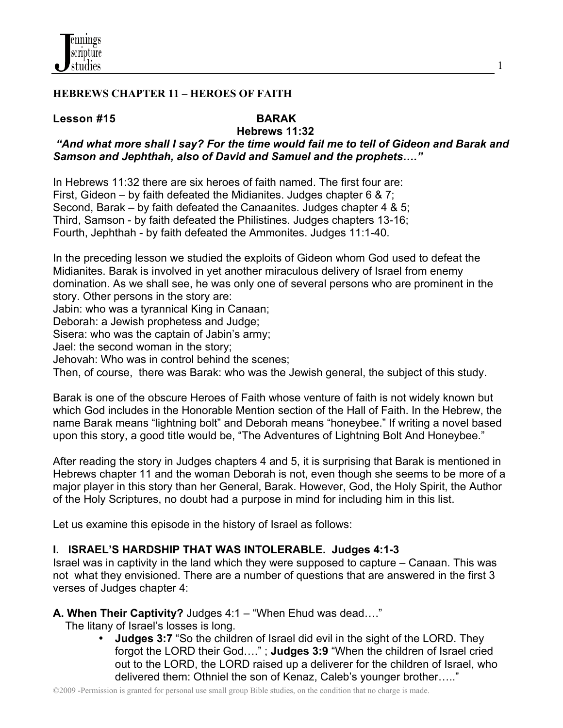

#### **HEBREWS CHAPTER 11 – HEROES OF FAITH**

#### **Lesson #15****BARAK**

# **Hebrews 11:32**

# *"And what more shall I say? For the time would fail me to tell of Gideon and Barak and Samson and Jephthah, also of David and Samuel and the prophets…."*

In Hebrews 11:32 there are six heroes of faith named. The first four are: First, Gideon – by faith defeated the Midianites. Judges chapter 6 & 7; Second, Barak – by faith defeated the Canaanites. Judges chapter 4 & 5; Third, Samson - by faith defeated the Philistines. Judges chapters 13-16; Fourth, Jephthah - by faith defeated the Ammonites. Judges 11:1-40.

In the preceding lesson we studied the exploits of Gideon whom God used to defeat the Midianites. Barak is involved in yet another miraculous delivery of Israel from enemy domination. As we shall see, he was only one of several persons who are prominent in the story. Other persons in the story are:

Jabin: who was a tyrannical King in Canaan;

Deborah: a Jewish prophetess and Judge;

Sisera: who was the captain of Jabin's army;

Jael: the second woman in the story;

Jehovah: Who was in control behind the scenes;

Then, of course, there was Barak: who was the Jewish general, the subject of this study.

Barak is one of the obscure Heroes of Faith whose venture of faith is not widely known but which God includes in the Honorable Mention section of the Hall of Faith. In the Hebrew, the name Barak means "lightning bolt" and Deborah means "honeybee." If writing a novel based upon this story, a good title would be, "The Adventures of Lightning Bolt And Honeybee."

After reading the story in Judges chapters 4 and 5, it is surprising that Barak is mentioned in Hebrews chapter 11 and the woman Deborah is not, even though she seems to be more of a major player in this story than her General, Barak. However, God, the Holy Spirit, the Author of the Holy Scriptures, no doubt had a purpose in mind for including him in this list.

Let us examine this episode in the history of Israel as follows:

# **I. ISRAEL'S HARDSHIP THAT WAS INTOLERABLE. Judges 4:1-3**

Israel was in captivity in the land which they were supposed to capture – Canaan. This was not what they envisioned. There are a number of questions that are answered in the first 3 verses of Judges chapter 4:

#### **A. When Their Captivity?** Judges 4:1 – "When Ehud was dead…."

The litany of Israel's losses is long.

**Judges 3:7** "So the children of Israel did evil in the sight of the LORD. They forgot the LORD their God…." ; **Judges 3:9** "When the children of Israel cried out to the LORD, the LORD raised up a deliverer for the children of Israel, who delivered them: Othniel the son of Kenaz, Caleb's younger brother….."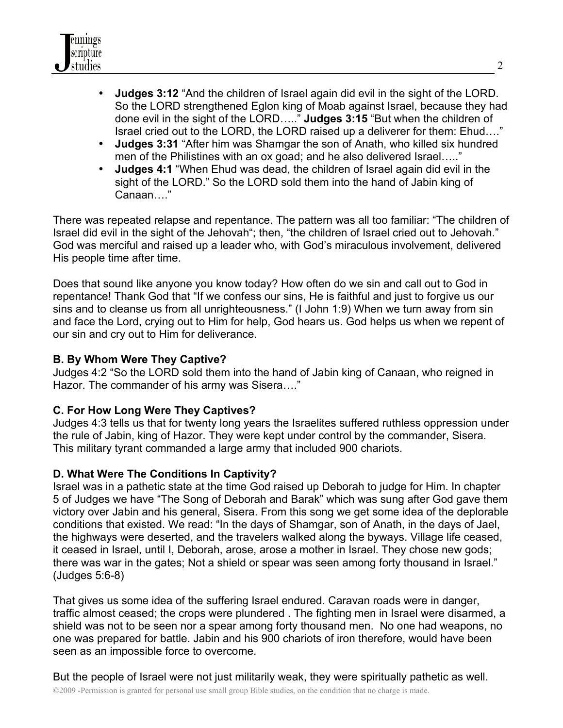

- **Judges 3:12** "And the children of Israel again did evil in the sight of the LORD. So the LORD strengthened Eglon king of Moab against Israel, because they had done evil in the sight of the LORD….." **Judges 3:15** "But when the children of Israel cried out to the LORD, the LORD raised up a deliverer for them: Ehud…."
- **Judges 3:31** "After him was Shamgar the son of Anath, who killed six hundred men of the Philistines with an ox goad; and he also delivered Israel….."
- **Judges 4:1** "When Ehud was dead, the children of Israel again did evil in the sight of the LORD." So the LORD sold them into the hand of Jabin king of Canaan…."

There was repeated relapse and repentance. The pattern was all too familiar: "The children of Israel did evil in the sight of the Jehovah"; then, "the children of Israel cried out to Jehovah." God was merciful and raised up a leader who, with God's miraculous involvement, delivered His people time after time.

Does that sound like anyone you know today? How often do we sin and call out to God in repentance! Thank God that "If we confess our sins, He is faithful and just to forgive us our sins and to cleanse us from all unrighteousness." (I John 1:9) When we turn away from sin and face the Lord, crying out to Him for help, God hears us. God helps us when we repent of our sin and cry out to Him for deliverance.

# **B. By Whom Were They Captive?**

Judges 4:2 "So the LORD sold them into the hand of Jabin king of Canaan, who reigned in Hazor. The commander of his army was Sisera…."

# **C. For How Long Were They Captives?**

Judges 4:3 tells us that for twenty long years the Israelites suffered ruthless oppression under the rule of Jabin, king of Hazor. They were kept under control by the commander, Sisera. This military tyrant commanded a large army that included 900 chariots.

# **D. What Were The Conditions In Captivity?**

Israel was in a pathetic state at the time God raised up Deborah to judge for Him. In chapter 5 of Judges we have "The Song of Deborah and Barak" which was sung after God gave them victory over Jabin and his general, Sisera. From this song we get some idea of the deplorable conditions that existed. We read: "In the days of Shamgar, son of Anath, in the days of Jael, the highways were deserted, and the travelers walked along the byways. Village life ceased, it ceased in Israel, until I, Deborah, arose, arose a mother in Israel. They chose new gods; there was war in the gates; Not a shield or spear was seen among forty thousand in Israel." (Judges 5:6-8)

That gives us some idea of the suffering Israel endured. Caravan roads were in danger, traffic almost ceased; the crops were plundered . The fighting men in Israel were disarmed, a shield was not to be seen nor a spear among forty thousand men. No one had weapons, no one was prepared for battle. Jabin and his 900 chariots of iron therefore, would have been seen as an impossible force to overcome.

©2009 -Permission is granted for personal use small group Bible studies, on the condition that no charge is made. But the people of Israel were not just militarily weak, they were spiritually pathetic as well.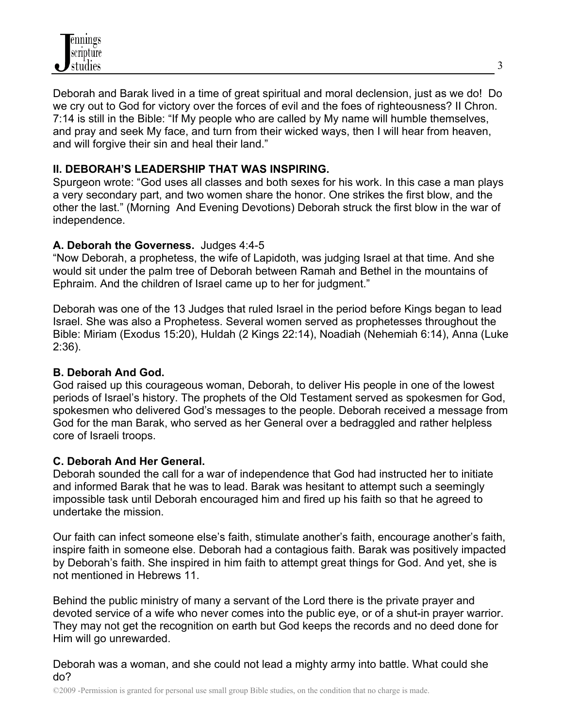

Deborah and Barak lived in a time of great spiritual and moral declension, just as we do! Do we cry out to God for victory over the forces of evil and the foes of righteousness? II Chron. 7:14 is still in the Bible: "If My people who are called by My name will humble themselves, and pray and seek My face, and turn from their wicked ways, then I will hear from heaven, and will forgive their sin and heal their land."

## **II. DEBORAH'S LEADERSHIP THAT WAS INSPIRING.**

Spurgeon wrote: "God uses all classes and both sexes for his work. In this case a man plays a very secondary part, and two women share the honor. One strikes the first blow, and the other the last." (Morning And Evening Devotions) Deborah struck the first blow in the war of independence.

#### **A. Deborah the Governess.** Judges 4:4-5

"Now Deborah, a prophetess, the wife of Lapidoth, was judging Israel at that time. And she would sit under the palm tree of Deborah between Ramah and Bethel in the mountains of Ephraim. And the children of Israel came up to her for judgment."

Deborah was one of the 13 Judges that ruled Israel in the period before Kings began to lead Israel. She was also a Prophetess. Several women served as prophetesses throughout the Bible: Miriam (Exodus 15:20), Huldah (2 Kings 22:14), Noadiah (Nehemiah 6:14), Anna (Luke 2:36).

#### **B. Deborah And God.**

God raised up this courageous woman, Deborah, to deliver His people in one of the lowest periods of Israel's history. The prophets of the Old Testament served as spokesmen for God, spokesmen who delivered God's messages to the people. Deborah received a message from God for the man Barak, who served as her General over a bedraggled and rather helpless core of Israeli troops.

# **C. Deborah And Her General.**

Deborah sounded the call for a war of independence that God had instructed her to initiate and informed Barak that he was to lead. Barak was hesitant to attempt such a seemingly impossible task until Deborah encouraged him and fired up his faith so that he agreed to undertake the mission.

Our faith can infect someone else's faith, stimulate another's faith, encourage another's faith, inspire faith in someone else. Deborah had a contagious faith. Barak was positively impacted by Deborah's faith. She inspired in him faith to attempt great things for God. And yet, she is not mentioned in Hebrews 11.

Behind the public ministry of many a servant of the Lord there is the private prayer and devoted service of a wife who never comes into the public eye, or of a shut-in prayer warrior. They may not get the recognition on earth but God keeps the records and no deed done for Him will go unrewarded.

Deborah was a woman, and she could not lead a mighty army into battle. What could she do?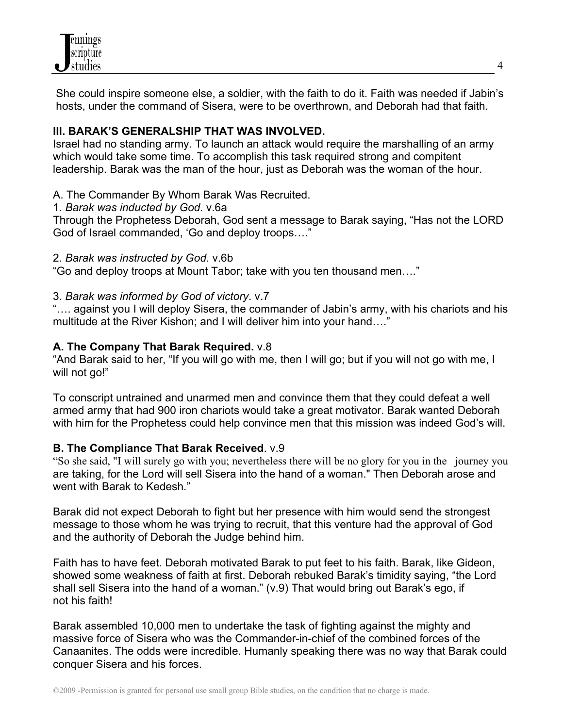

She could inspire someone else, a soldier, with the faith to do it. Faith was needed if Jabin's hosts, under the command of Sisera, were to be overthrown, and Deborah had that faith.

## **III. BARAK'S GENERALSHIP THAT WAS INVOLVED.**

Israel had no standing army. To launch an attack would require the marshalling of an army which would take some time. To accomplish this task required strong and compitent leadership. Barak was the man of the hour, just as Deborah was the woman of the hour.

## A. The Commander By Whom Barak Was Recruited.

1. *Barak was inducted by God.* v.6a

Through the Prophetess Deborah, God sent a message to Barak saying, "Has not the LORD God of Israel commanded, 'Go and deploy troops…."

## 2. *Barak was instructed by God.* v.6b

"Go and deploy troops at Mount Tabor; take with you ten thousand men…."

## 3. *Barak was informed by God of victory*. v.7

"…. against you I will deploy Sisera, the commander of Jabin's army, with his chariots and his multitude at the River Kishon; and I will deliver him into your hand…."

# **A. The Company That Barak Required.** v.8

"And Barak said to her, "If you will go with me, then I will go; but if you will not go with me, I will not go!"

To conscript untrained and unarmed men and convince them that they could defeat a well armed army that had 900 iron chariots would take a great motivator. Barak wanted Deborah with him for the Prophetess could help convince men that this mission was indeed God's will.

# **B. The Compliance That Barak Received**. v.9

"So she said, "I will surely go with you; nevertheless there will be no glory for you in the journey you are taking, for the Lord will sell Sisera into the hand of a woman." Then Deborah arose and went with Barak to Kedesh."

Barak did not expect Deborah to fight but her presence with him would send the strongest message to those whom he was trying to recruit, that this venture had the approval of God and the authority of Deborah the Judge behind him.

Faith has to have feet. Deborah motivated Barak to put feet to his faith. Barak, like Gideon, showed some weakness of faith at first. Deborah rebuked Barak's timidity saying, "the Lord shall sell Sisera into the hand of a woman." (v.9) That would bring out Barak's ego, if not his faith!

Barak assembled 10,000 men to undertake the task of fighting against the mighty and massive force of Sisera who was the Commander-in-chief of the combined forces of the Canaanites. The odds were incredible. Humanly speaking there was no way that Barak could conquer Sisera and his forces.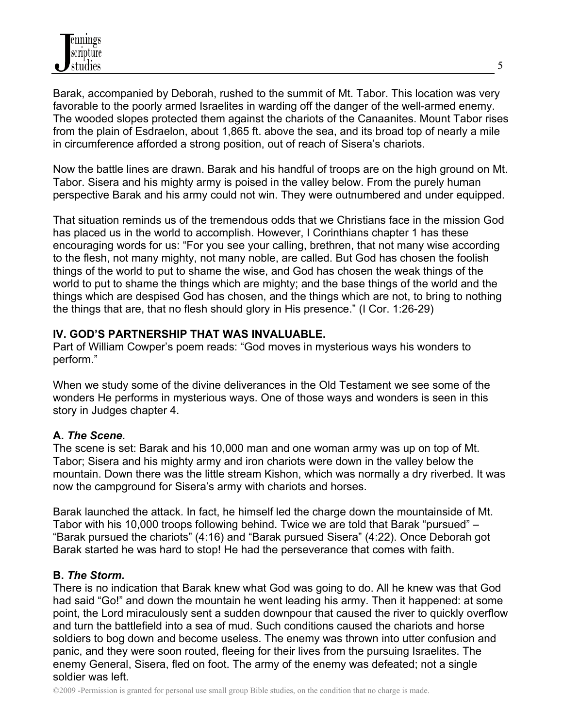Barak, accompanied by Deborah, rushed to the summit of Mt. Tabor. This location was very favorable to the poorly armed Israelites in warding off the danger of the well-armed enemy. The wooded slopes protected them against the chariots of the Canaanites. Mount Tabor rises from the plain of Esdraelon, about 1,865 ft. above the sea, and its broad top of nearly a mile in circumference afforded a strong position, out of reach of Sisera's chariots.

Now the battle lines are drawn. Barak and his handful of troops are on the high ground on Mt. Tabor. Sisera and his mighty army is poised in the valley below. From the purely human perspective Barak and his army could not win. They were outnumbered and under equipped.

That situation reminds us of the tremendous odds that we Christians face in the mission God has placed us in the world to accomplish. However, I Corinthians chapter 1 has these encouraging words for us: "For you see your calling, brethren, that not many wise according to the flesh, not many mighty, not many noble, are called. But God has chosen the foolish things of the world to put to shame the wise, and God has chosen the weak things of the world to put to shame the things which are mighty; and the base things of the world and the things which are despised God has chosen, and the things which are not, to bring to nothing the things that are, that no flesh should glory in His presence." (I Cor. 1:26-29)

# **IV. GOD'S PARTNERSHIP THAT WAS INVALUABLE.**

Part of William Cowper's poem reads: "God moves in mysterious ways his wonders to perform."

When we study some of the divine deliverances in the Old Testament we see some of the wonders He performs in mysterious ways. One of those ways and wonders is seen in this story in Judges chapter 4.

# **A.** *The Scene.*

The scene is set: Barak and his 10,000 man and one woman army was up on top of Mt. Tabor; Sisera and his mighty army and iron chariots were down in the valley below the mountain. Down there was the little stream Kishon, which was normally a dry riverbed. It was now the campground for Sisera's army with chariots and horses.

Barak launched the attack. In fact, he himself led the charge down the mountainside of Mt. Tabor with his 10,000 troops following behind. Twice we are told that Barak "pursued" – "Barak pursued the chariots" (4:16) and "Barak pursued Sisera" (4:22). Once Deborah got Barak started he was hard to stop! He had the perseverance that comes with faith.

#### **B.** *The Storm.*

There is no indication that Barak knew what God was going to do. All he knew was that God had said "Go!" and down the mountain he went leading his army. Then it happened: at some point, the Lord miraculously sent a sudden downpour that caused the river to quickly overflow and turn the battlefield into a sea of mud. Such conditions caused the chariots and horse soldiers to bog down and become useless. The enemy was thrown into utter confusion and panic, and they were soon routed, fleeing for their lives from the pursuing Israelites. The enemy General, Sisera, fled on foot. The army of the enemy was defeated; not a single soldier was left.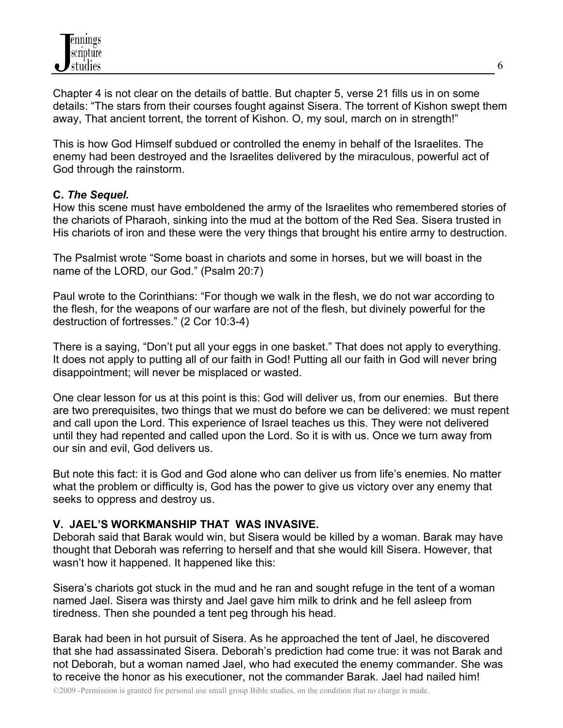Chapter 4 is not clear on the details of battle. But chapter 5, verse 21 fills us in on some details: "The stars from their courses fought against Sisera. The torrent of Kishon swept them away, That ancient torrent, the torrent of Kishon. O, my soul, march on in strength!"

This is how God Himself subdued or controlled the enemy in behalf of the Israelites. The enemy had been destroyed and the Israelites delivered by the miraculous, powerful act of God through the rainstorm.

# **C.** *The Sequel.*

How this scene must have emboldened the army of the Israelites who remembered stories of the chariots of Pharaoh, sinking into the mud at the bottom of the Red Sea. Sisera trusted in His chariots of iron and these were the very things that brought his entire army to destruction.

The Psalmist wrote "Some boast in chariots and some in horses, but we will boast in the name of the LORD, our God." (Psalm 20:7)

Paul wrote to the Corinthians: "For though we walk in the flesh, we do not war according to the flesh, for the weapons of our warfare are not of the flesh, but divinely powerful for the destruction of fortresses." (2 Cor 10:3-4)

There is a saying, "Don't put all your eggs in one basket." That does not apply to everything. It does not apply to putting all of our faith in God! Putting all our faith in God will never bring disappointment; will never be misplaced or wasted.

One clear lesson for us at this point is this: God will deliver us, from our enemies. But there are two prerequisites, two things that we must do before we can be delivered: we must repent and call upon the Lord. This experience of Israel teaches us this. They were not delivered until they had repented and called upon the Lord. So it is with us. Once we turn away from our sin and evil, God delivers us.

But note this fact: it is God and God alone who can deliver us from life's enemies. No matter what the problem or difficulty is, God has the power to give us victory over any enemy that seeks to oppress and destroy us.

#### **V. JAEL'S WORKMANSHIP THAT WAS INVASIVE.**

Deborah said that Barak would win, but Sisera would be killed by a woman. Barak may have thought that Deborah was referring to herself and that she would kill Sisera. However, that wasn't how it happened. It happened like this:

Sisera's chariots got stuck in the mud and he ran and sought refuge in the tent of a woman named Jael. Sisera was thirsty and Jael gave him milk to drink and he fell asleep from tiredness. Then she pounded a tent peg through his head.

Barak had been in hot pursuit of Sisera. As he approached the tent of Jael, he discovered that she had assassinated Sisera. Deborah's prediction had come true: it was not Barak and not Deborah, but a woman named Jael, who had executed the enemy commander. She was to receive the honor as his executioner, not the commander Barak. Jael had nailed him!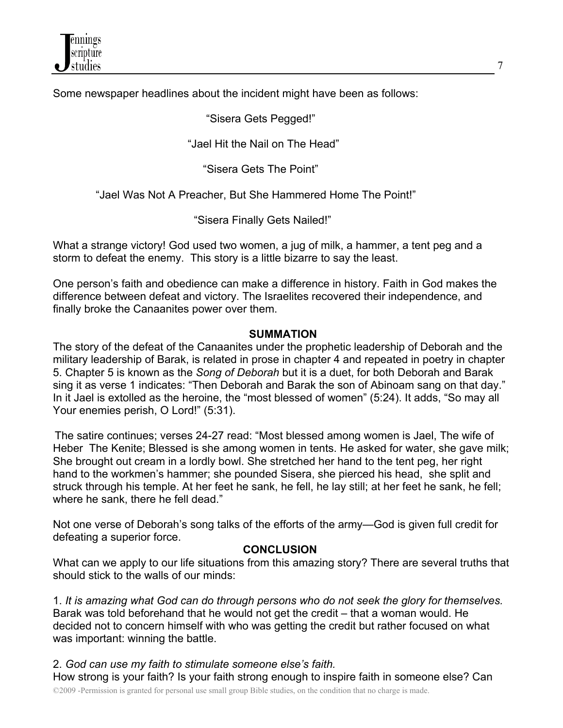Some newspaper headlines about the incident might have been as follows:

"Sisera Gets Pegged!"

"Jael Hit the Nail on The Head"

"Sisera Gets The Point"

"Jael Was Not A Preacher, But She Hammered Home The Point!"

"Sisera Finally Gets Nailed!"

What a strange victory! God used two women, a jug of milk, a hammer, a tent peg and a storm to defeat the enemy. This story is a little bizarre to say the least.

One person's faith and obedience can make a difference in history. Faith in God makes the difference between defeat and victory. The Israelites recovered their independence, and finally broke the Canaanites power over them.

## **SUMMATION**

The story of the defeat of the Canaanites under the prophetic leadership of Deborah and the military leadership of Barak, is related in prose in chapter 4 and repeated in poetry in chapter 5. Chapter 5 is known as the *Song of Deborah* but it is a duet, for both Deborah and Barak sing it as verse 1 indicates: "Then Deborah and Barak the son of Abinoam sang on that day." In it Jael is extolled as the heroine, the "most blessed of women" (5:24). It adds, "So may all Your enemies perish, O Lord!" (5:31).

 The satire continues; verses 24-27 read: "Most blessed among women is Jael, The wife of Heber The Kenite; Blessed is she among women in tents. He asked for water, she gave milk; She brought out cream in a lordly bowl. She stretched her hand to the tent peg, her right hand to the workmen's hammer; she pounded Sisera, she pierced his head, she split and struck through his temple. At her feet he sank, he fell, he lay still; at her feet he sank, he fell; where he sank, there he fell dead."

Not one verse of Deborah's song talks of the efforts of the army—God is given full credit for defeating a superior force.

# **CONCLUSION**

What can we apply to our life situations from this amazing story? There are several truths that should stick to the walls of our minds:

1. *It is amazing what God can do through persons who do not seek the glory for themselves.* Barak was told beforehand that he would not get the credit – that a woman would. He decided not to concern himself with who was getting the credit but rather focused on what was important: winning the battle.

©2009 -Permission is granted for personal use small group Bible studies, on the condition that no charge is made. 2. *God can use my faith to stimulate someone else's faith.*  How strong is your faith? Is your faith strong enough to inspire faith in someone else? Can